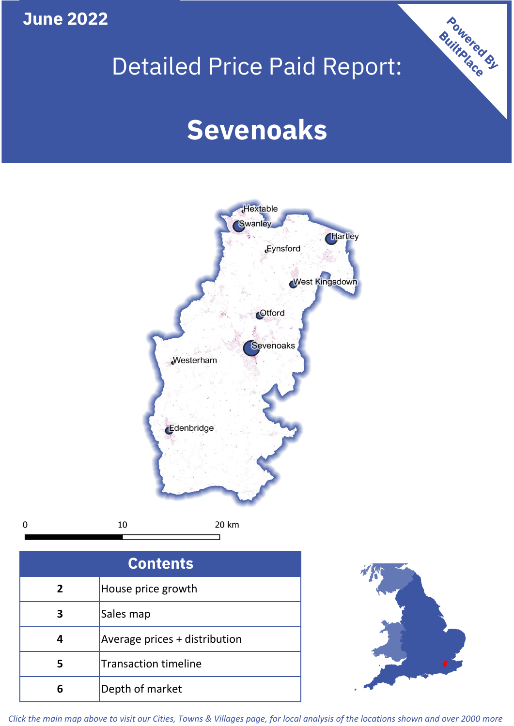**June 2022**

 $\mathbf 0$ 

## Detailed Price Paid Report:

# **Sevenoaks**



| <b>Contents</b> |                               |  |  |
|-----------------|-------------------------------|--|--|
| $\overline{2}$  | House price growth            |  |  |
| 3               | Sales map                     |  |  |
|                 | Average prices + distribution |  |  |
| 5               | <b>Transaction timeline</b>   |  |  |
|                 | Depth of market               |  |  |



Powered By

*Click the main map above to visit our Cities, Towns & Villages page, for local analysis of the locations shown and over 2000 more*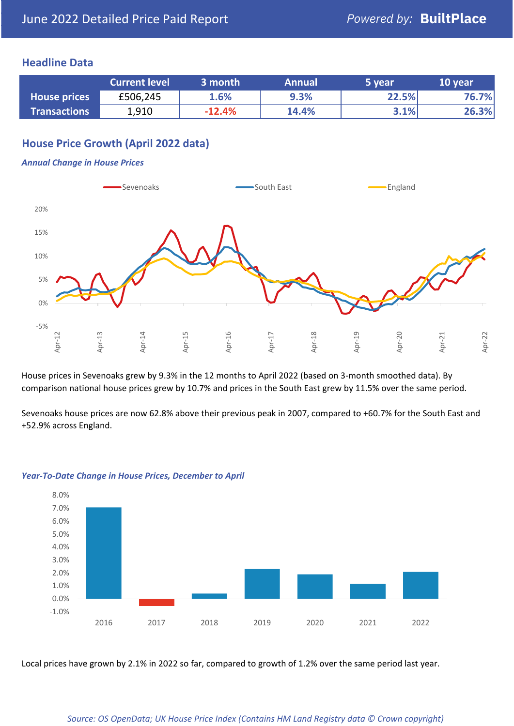### **Headline Data**

|                     | <b>Current level</b> | 3 month  | <b>Annual</b> | 5 year | 10 year |
|---------------------|----------------------|----------|---------------|--------|---------|
| <b>House prices</b> | £506,245             | 1.6%     | 9.3%          | 22.5%  | 76.7%   |
| <b>Transactions</b> | 1,910                | $-12.4%$ | 14.4%         | 3.1%   | 26.3%   |

## **House Price Growth (April 2022 data)**

#### *Annual Change in House Prices*



House prices in Sevenoaks grew by 9.3% in the 12 months to April 2022 (based on 3-month smoothed data). By comparison national house prices grew by 10.7% and prices in the South East grew by 11.5% over the same period.

Sevenoaks house prices are now 62.8% above their previous peak in 2007, compared to +60.7% for the South East and +52.9% across England.



#### *Year-To-Date Change in House Prices, December to April*

Local prices have grown by 2.1% in 2022 so far, compared to growth of 1.2% over the same period last year.

#### *Source: OS OpenData; UK House Price Index (Contains HM Land Registry data © Crown copyright)*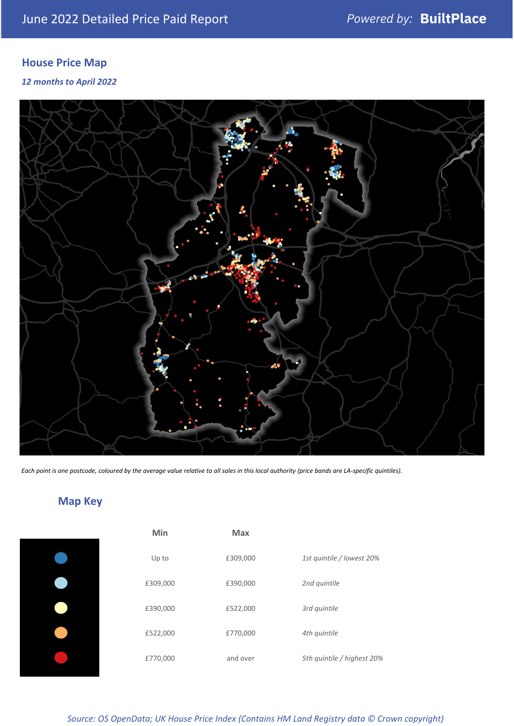## **House Price Map**

*12 months to April 2022*



*Each point is one postcode, coloured by the average value relative to all sales in this local authority (price bands are LA-specific quintiles).*

## **Map Key**

| Min      | <b>Max</b> |                            |
|----------|------------|----------------------------|
| Up to    | £309,000   | 1st quintile / lowest 20%  |
| £309,000 | £390,000   | 2nd quintile               |
| £390,000 | £522,000   | 3rd quintile               |
| £522,000 | £770,000   | 4th quintile               |
| £770,000 | and over   | 5th quintile / highest 20% |
|          |            |                            |

*Source: OS OpenData; UK House Price Index (Contains HM Land Registry data © Crown copyright)*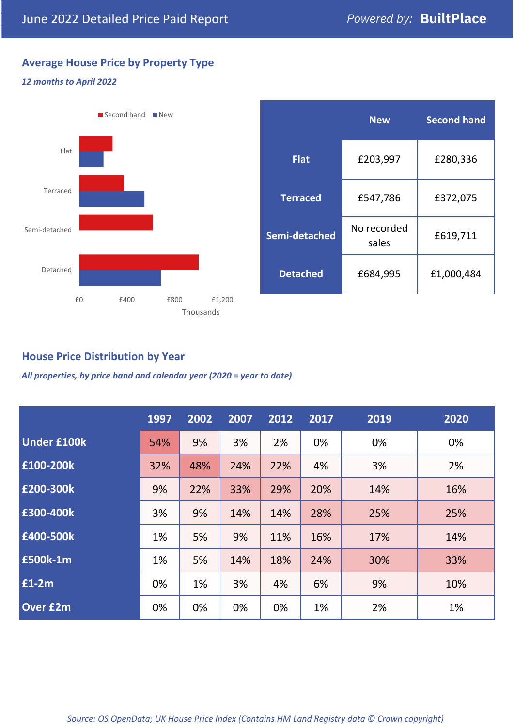## **Average House Price by Property Type**

### *12 months to April 2022*



|                 | <b>New</b>           | <b>Second hand</b> |  |
|-----------------|----------------------|--------------------|--|
| <b>Flat</b>     | £203,997             | £280,336           |  |
| <b>Terraced</b> | £547,786             | £372,075           |  |
| Semi-detached   | No recorded<br>sales | £619,711           |  |
| <b>Detached</b> | £684,995             | £1,000,484         |  |

## **House Price Distribution by Year**

*All properties, by price band and calendar year (2020 = year to date)*

|                    | 1997 | 2002 | 2007 | 2012 | 2017 | 2019 | 2020 |
|--------------------|------|------|------|------|------|------|------|
| <b>Under £100k</b> | 54%  | 9%   | 3%   | 2%   | 0%   | 0%   | 0%   |
| £100-200k          | 32%  | 48%  | 24%  | 22%  | 4%   | 3%   | 2%   |
| E200-300k          | 9%   | 22%  | 33%  | 29%  | 20%  | 14%  | 16%  |
| £300-400k          | 3%   | 9%   | 14%  | 14%  | 28%  | 25%  | 25%  |
| £400-500k          | 1%   | 5%   | 9%   | 11%  | 16%  | 17%  | 14%  |
| <b>£500k-1m</b>    | 1%   | 5%   | 14%  | 18%  | 24%  | 30%  | 33%  |
| £1-2m              | 0%   | 1%   | 3%   | 4%   | 6%   | 9%   | 10%  |
| <b>Over £2m</b>    | 0%   | 0%   | 0%   | 0%   | 1%   | 2%   | 1%   |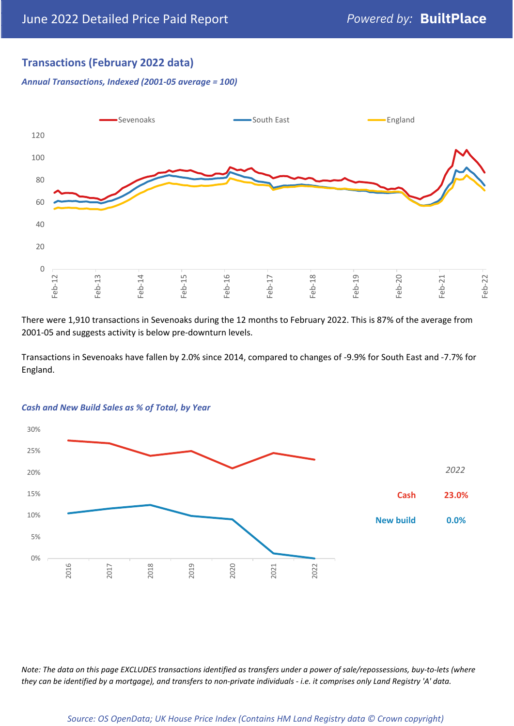## **Transactions (February 2022 data)**

*Annual Transactions, Indexed (2001-05 average = 100)*



There were 1,910 transactions in Sevenoaks during the 12 months to February 2022. This is 87% of the average from 2001-05 and suggests activity is below pre-downturn levels.

Transactions in Sevenoaks have fallen by 2.0% since 2014, compared to changes of -9.9% for South East and -7.7% for England.



#### *Cash and New Build Sales as % of Total, by Year*

*Note: The data on this page EXCLUDES transactions identified as transfers under a power of sale/repossessions, buy-to-lets (where they can be identified by a mortgage), and transfers to non-private individuals - i.e. it comprises only Land Registry 'A' data.*